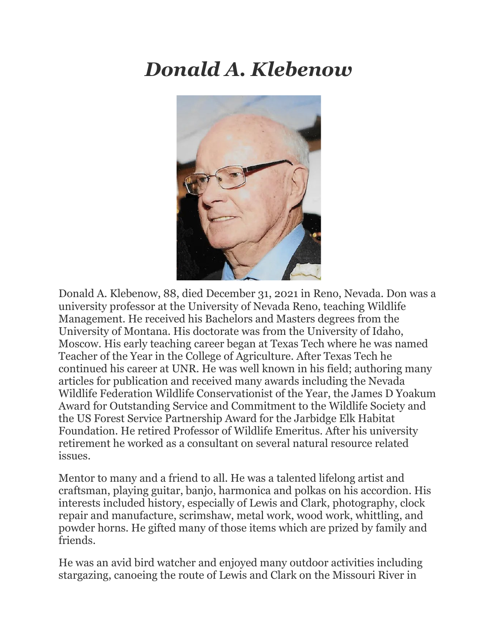## *Donald A. Klebenow*



Donald A. Klebenow, 88, died December 31, 2021 in Reno, Nevada. Don was a university professor at the University of Nevada Reno, teaching Wildlife Management. He received his Bachelors and Masters degrees from the University of Montana. His doctorate was from the University of Idaho, Moscow. His early teaching career began at Texas Tech where he was named Teacher of the Year in the College of Agriculture. After Texas Tech he continued his career at UNR. He was well known in his field; authoring many articles for publication and received many awards including the Nevada Wildlife Federation Wildlife Conservationist of the Year, the James D Yoakum Award for Outstanding Service and Commitment to the Wildlife Society and the US Forest Service Partnership Award for the Jarbidge Elk Habitat Foundation. He retired Professor of Wildlife Emeritus. After his university retirement he worked as a consultant on several natural resource related issues.

Mentor to many and a friend to all. He was a talented lifelong artist and craftsman, playing guitar, banjo, harmonica and polkas on his accordion. His interests included history, especially of Lewis and Clark, photography, clock repair and manufacture, scrimshaw, metal work, wood work, whittling, and powder horns. He gifted many of those items which are prized by family and friends.

He was an avid bird watcher and enjoyed many outdoor activities including stargazing, canoeing the route of Lewis and Clark on the Missouri River in